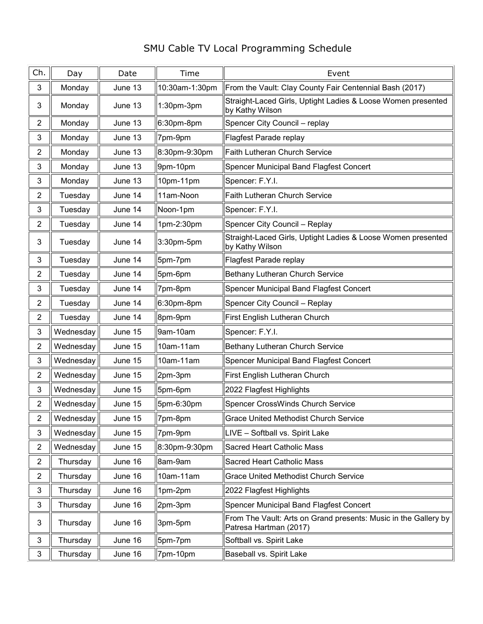## SMU Cable TV Local Programming Schedule

| Ch.            | Day       | Date    | Time              | Event                                                                                     |
|----------------|-----------|---------|-------------------|-------------------------------------------------------------------------------------------|
| 3              | Monday    | June 13 | 10:30am-1:30pm    | From the Vault: Clay County Fair Centennial Bash (2017)                                   |
| 3              | Monday    | June 13 | $1:30$ pm- $3$ pm | Straight-Laced Girls, Uptight Ladies & Loose Women presented<br>by Kathy Wilson           |
| $\overline{2}$ | Monday    | June 13 | $6:30pm$ -8pm     | Spencer City Council - replay                                                             |
| 3              | Monday    | June 13 | 7pm-9pm           | Flagfest Parade replay                                                                    |
| $\overline{2}$ | Monday    | June 13 | 8:30pm-9:30pm     | <b>Faith Lutheran Church Service</b>                                                      |
| 3              | Monday    | June 13 | 9pm-10pm          | Spencer Municipal Band Flagfest Concert                                                   |
| 3              | Monday    | June 13 | 10pm-11pm         | Spencer: F.Y.I.                                                                           |
| $\overline{2}$ | Tuesday   | June 14 | 11am-Noon         | <b>Faith Lutheran Church Service</b>                                                      |
| 3              | Tuesday   | June 14 | Noon-1pm          | Spencer: F.Y.I.                                                                           |
| $\overline{2}$ | Tuesday   | June 14 | 1pm-2:30pm        | Spencer City Council - Replay                                                             |
| 3              | Tuesday   | June 14 | 3:30pm-5pm        | Straight-Laced Girls, Uptight Ladies & Loose Women presented<br>by Kathy Wilson           |
| 3              | Tuesday   | June 14 | 5pm-7pm           | Flagfest Parade replay                                                                    |
| $\overline{2}$ | Tuesday   | June 14 | 5pm-6pm           | Bethany Lutheran Church Service                                                           |
| 3              | Tuesday   | June 14 | 7pm-8pm           | Spencer Municipal Band Flagfest Concert                                                   |
| $\overline{2}$ | Tuesday   | June 14 | 6:30pm-8pm        | Spencer City Council - Replay                                                             |
| $\overline{2}$ | Tuesday   | June 14 | 8pm-9pm           | First English Lutheran Church                                                             |
| 3              | Wednesday | June 15 | 9am-10am          | Spencer: F.Y.I.                                                                           |
| $\overline{2}$ | Wednesday | June 15 | 10am-11am         | Bethany Lutheran Church Service                                                           |
| 3              | Wednesday | June 15 | 10am-11am         | Spencer Municipal Band Flagfest Concert                                                   |
| $\overline{2}$ | Wednesday | June 15 | 2pm-3pm           | First English Lutheran Church                                                             |
| 3              | Wednesday | June 15 | 5pm-6pm           | 2022 Flagfest Highlights                                                                  |
| $\overline{2}$ | Wednesday | June 15 | 5pm-6:30pm        | Spencer CrossWinds Church Service                                                         |
| $\overline{c}$ | Wednesday | June 15 | 7pm-8pm           | Grace United Methodist Church Service                                                     |
| 3              | Wednesday | June 15 | 7pm-9pm           | LIVE - Softball vs. Spirit Lake                                                           |
| $\overline{2}$ | Wednesday | June 15 | 8:30pm-9:30pm     | <b>Sacred Heart Catholic Mass</b>                                                         |
| $\overline{2}$ | Thursday  | June 16 | 8am-9am           | <b>Sacred Heart Catholic Mass</b>                                                         |
| $\overline{2}$ | Thursday  | June 16 | 10am-11am         | <b>Grace United Methodist Church Service</b>                                              |
| 3              | Thursday  | June 16 | 1pm-2pm           | 2022 Flagfest Highlights                                                                  |
| 3              | Thursday  | June 16 | 2pm-3pm           | Spencer Municipal Band Flagfest Concert                                                   |
| 3              | Thursday  | June 16 | 3pm-5pm           | From The Vault: Arts on Grand presents: Music in the Gallery by<br>Patresa Hartman (2017) |
| 3              | Thursday  | June 16 | 5pm-7pm           | Softball vs. Spirit Lake                                                                  |
| 3              | Thursday  | June 16 | 7pm-10pm          | Baseball vs. Spirit Lake                                                                  |